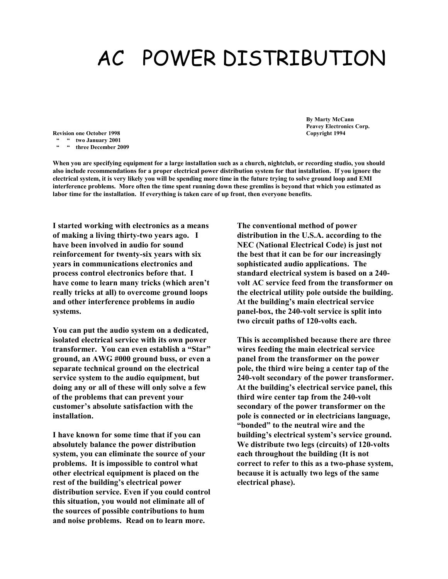## AC POWER DISTRIBUTION

**Revision one October 1998 Copyright 1994 " " two January 2001 " " three December 2009**

**When you are specifying equipment for a large installation such as a church, nightclub, or recording studio, you should also include recommendations for a proper electrical power distribution system for that installation. If you ignore the electrical system, it is very likely you will be spending more time in the future trying to solve ground loop and EMI interference problems. More often the time spent running down these gremlins is beyond that which you estimated as labor time for the installation. If everything is taken care of up front, then everyone benefits.**

**I started working with electronics as a means of making a living thirty-two years ago. I have been involved in audio for sound reinforcement for twenty-six years with six years in communications electronics and process control electronics before that. I have come to learn many tricks (which aren't really tricks at all) to overcome ground loops and other interference problems in audio systems.** 

**You can put the audio system on a dedicated, isolated electrical service with its own power transformer. You can even establish a "Star" ground, an AWG #000 ground buss, or even a separate technical ground on the electrical service system to the audio equipment, but doing any or all of these will only solve a few of the problems that can prevent your customer's absolute satisfaction with the installation.** 

**I have known for some time that if you can absolutely balance the power distribution system, you can eliminate the source of your problems. It is impossible to control what other electrical equipment is placed on the rest of the building's electrical power distribution service. Even if you could control this situation, you would not eliminate all of the sources of possible contributions to hum and noise problems. Read on to learn more.**

**The conventional method of power distribution in the U.S.A. according to the NEC (National Electrical Code) is just not the best that it can be for our increasingly sophisticated audio applications. The standard electrical system is based on a 240 volt AC service feed from the transformer on the electrical utility pole outside the building. At the building's main electrical service panel-box, the 240-volt service is split into two circuit paths of 120-volts each.** 

**This is accomplished because there are three wires feeding the main electrical service panel from the transformer on the power pole, the third wire being a center tap of the 240-volt secondary of the power transformer. At the building's electrical service panel, this third wire center tap from the 240-volt secondary of the power transformer on the pole is connected or in electricians language, "bonded" to the neutral wire and the building's electrical system's service ground. We distribute two legs (circuits) of 120-volts each throughout the building (It is not correct to refer to this as a two-phase system, because it is actually two legs of the same electrical phase).** 

**By Marty McCann Peavey Electronics Corp.**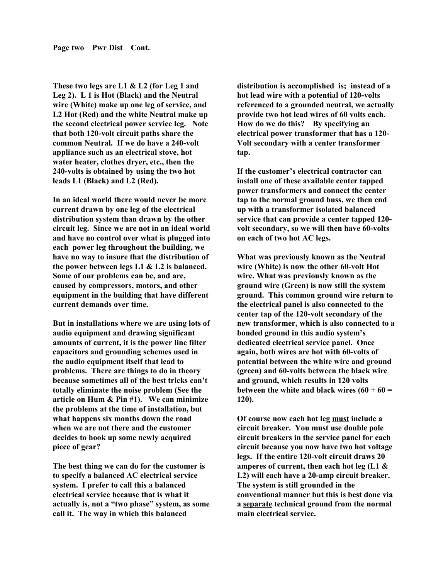**These two legs are L1 & L2 (for Leg 1 and Leg 2). L 1 is Hot (Black) and the Neutral wire (White) make up one leg of service, and L2 Hot (Red) and the white Neutral make up the second electrical power service leg. Note that both 120-volt circuit paths share the common Neutral. If we do have a 240-volt appliance such as an electrical stove, hot water heater, clothes dryer, etc., then the 240-volts is obtained by using the two hot leads L1 (Black) and L2 (Red).**

**In an ideal world there would never be more current drawn by one leg of the electrical distribution system than drawn by the other circuit leg. Since we are not in an ideal world and have no control over what is plugged into each power leg throughout the building, we have no way to insure that the distribution of the power between legs L1 & L2 is balanced. Some of our problems can be, and are, caused by compressors, motors, and other equipment in the building that have different current demands over time.** 

**But in installations where we are using lots of audio equipment and drawing significant amounts of current, it is the power line filter capacitors and grounding schemes used in the audio equipment itself that lead to problems. There are things to do in theory because sometimes all of the best tricks can't totally eliminate the noise problem (See the article on Hum & Pin #1). We can minimize the problems at the time of installation, but what happens six months down the road when we are not there and the customer decides to hook up some newly acquired piece of gear?**

**The best thing we can do for the customer is to specify a balanced AC electrical service system. I prefer to call this a balanced electrical service because that is what it actually is, not a "two phase" system, as some call it. The way in which this balanced** 

**distribution is accomplished is; instead of a hot lead wire with a potential of 120-volts referenced to a grounded neutral, we actually provide two hot lead wires of 60 volts each. How do we do this? By specifying an electrical power transformer that has a 120- Volt secondary with a center transformer tap.** 

**If the customer's electrical contractor can install one of these available center tapped power transformers and connect the center tap to the normal ground buss, we then end up with a transformer isolated balanced service that can provide a center tapped 120 volt secondary, so we will then have 60-volts on each of two hot AC legs.** 

**What was previously known as the Neutral wire (White) is now the other 60-volt Hot wire. What was previously known as the ground wire (Green) is now still the system ground. This common ground wire return to the electrical panel is also connected to the center tap of the 120-volt secondary of the new transformer, which is also connected to a bonded ground in this audio system's dedicated electrical service panel. Once again, both wires are hot with 60-volts of potential between the white wire and ground (green) and 60-volts between the black wire and ground, which results in 120 volts between the white and black wires (60 + 60 = 120).** 

**Of course now each hot leg must include a circuit breaker. You must use double pole circuit breakers in the service panel for each circuit because you now have two hot voltage legs. If the entire 120-volt circuit draws 20 amperes of current, then each hot leg (L1 & L2) will each have a 20-amp circuit breaker. The system is still grounded in the conventional manner but this is best done via a separate technical ground from the normal main electrical service.**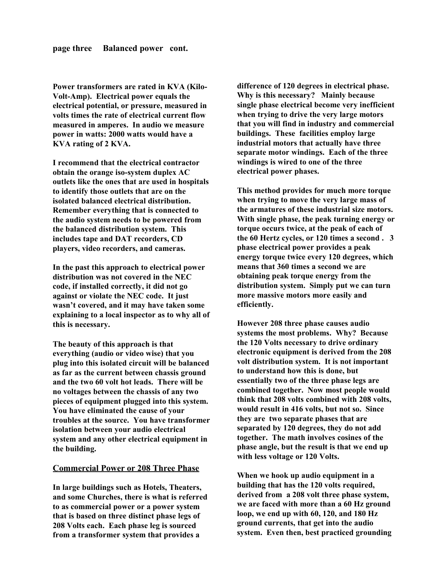**Power transformers are rated in KVA (Kilo-Volt-Amp). Electrical power equals the electrical potential, or pressure, measured in volts times the rate of electrical current flow measured in amperes. In audio we measure power in watts: 2000 watts would have a KVA rating of 2 KVA.** 

**I recommend that the electrical contractor obtain the orange iso-system duplex AC outlets like the ones that are used in hospitals to identify those outlets that are on the isolated balanced electrical distribution. Remember everything that is connected to the audio system needs to be powered from the balanced distribution system. This includes tape and DAT recorders, CD players, video recorders, and cameras.**

**In the past this approach to electrical power distribution was not covered in the NEC code, if installed correctly, it did not go against or violate the NEC code. It just wasn't covered, and it may have taken some explaining to a local inspector as to why all of this is necessary.** 

**The beauty of this approach is that everything (audio or video wise) that you plug into this isolated circuit will be balanced as far as the current between chassis ground and the two 60 volt hot leads. There will be no voltages between the chassis of any two pieces of equipment plugged into this system. You have eliminated the cause of your troubles at the source. You have transformer isolation between your audio electrical system and any other electrical equipment in the building.**

## **Commercial Power or 208 Three Phase**

**In large buildings such as Hotels, Theaters, and some Churches, there is what is referred to as commercial power or a power system that is based on three distinct phase legs of 208 Volts each. Each phase leg is sourced from a transformer system that provides a** 

**difference of 120 degrees in electrical phase. Why is this necessary? Mainly because single phase electrical become very inefficient when trying to drive the very large motors that you will find in industry and commercial buildings. These facilities employ large industrial motors that actually have three separate motor windings. Each of the three windings is wired to one of the three electrical power phases.** 

**This method provides for much more torque when trying to move the very large mass of the armatures of these industrial size motors. With single phase, the peak turning energy or torque occurs twice, at the peak of each of the 60 Hertz cycles, or 120 times a second . 3 phase electrical power provides a peak energy torque twice every 120 degrees, which means that 360 times a second we are obtaining peak torque energy from the distribution system. Simply put we can turn more massive motors more easily and efficiently.**

**However 208 three phase causes audio systems the most problems. Why? Because the 120 Volts necessary to drive ordinary electronic equipment is derived from the 208 volt distribution system. It is not important to understand how this is done, but essentially two of the three phase legs are combined together. Now most people would think that 208 volts combined with 208 volts, would result in 416 volts, but not so. Since they are two separate phases that are separated by 120 degrees, they do not add together. The math involves cosines of the phase angle, but the result is that we end up with less voltage or 120 Volts.**

**When we hook up audio equipment in a building that has the 120 volts required, derived from a 208 volt three phase system, we are faced with more than a 60 Hz ground loop, we end up with 60, 120, and 180 Hz ground currents, that get into the audio system. Even then, best practiced grounding**